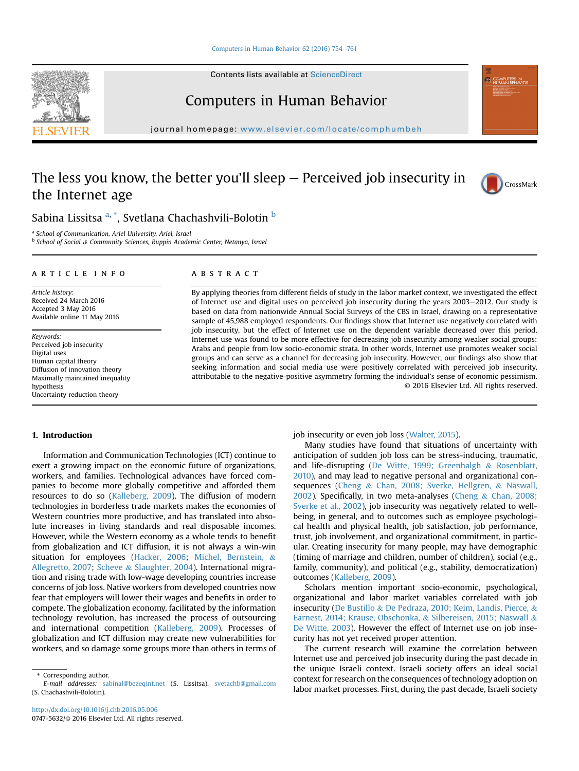Contents lists available at ScienceDirect

# Computers in Human Behavior

journal homepage: <www.elsevier.com/locate/comphumbeh>

# The less you know, the better you'll sleep  $-$  Perceived job insecurity in the Internet age

Sabina Lissitsa <sup>a, \*</sup>, Svetlana Chachashvili-Bolotin <sup>b</sup>

<sup>a</sup> School of Communication, Ariel University, Ariel, Israel

<sup>b</sup> School of Social & Community Sciences, Ruppin Academic Center, Netanya, Israel

#### article info

Article history: Received 24 March 2016 Accepted 3 May 2016 Available online 11 May 2016

Keywords: Perceived job insecurity Digital uses Human capital theory Diffusion of innovation theory Maximally maintained inequality hypothesis Uncertainty reduction theory

## 1. Introduction

Information and Communication Technologies (ICT) continue to exert a growing impact on the economic future of organizations, workers, and families. Technological advances have forced companies to become more globally competitive and afforded them resources to do so [\(Kalleberg, 2009\)](#page-6-0). The diffusion of modern technologies in borderless trade markets makes the economies of Western countries more productive, and has translated into absolute increases in living standards and real disposable incomes. However, while the Western economy as a whole tends to benefit from globalization and ICT diffusion, it is not always a win-win situation for employees [\(Hacker, 2006](#page-6-0); [Michel, Bernstein,](#page-6-0) & [Allegretto, 2007](#page-6-0); [Scheve](#page-7-0) & [Slaughter, 2004](#page-7-0)). International migration and rising trade with low-wage developing countries increase concerns of job loss. Native workers from developed countries now fear that employers will lower their wages and benefits in order to compete. The globalization economy, facilitated by the information technology revolution, has increased the process of outsourcing and international competition ([Kalleberg, 2009](#page-6-0)). Processes of globalization and ICT diffusion may create new vulnerabilities for workers, and so damage some groups more than others in terms of

#### **ABSTRACT**

By applying theories from different fields of study in the labor market context, we investigated the effect of Internet use and digital uses on perceived job insecurity during the years 2003–2012. Our study is based on data from nationwide Annual Social Surveys of the CBS in Israel, drawing on a representative sample of 45,988 employed respondents. Our findings show that Internet use negatively correlated with job insecurity, but the effect of Internet use on the dependent variable decreased over this period. Internet use was found to be more effective for decreasing job insecurity among weaker social groups: Arabs and people from low socio-economic strata. In other words, Internet use promotes weaker social groups and can serve as a channel for decreasing job insecurity. However, our findings also show that seeking information and social media use were positively correlated with perceived job insecurity, attributable to the negative-positive asymmetry forming the individual's sense of economic pessimism. © 2016 Elsevier Ltd. All rights reserved.

job insecurity or even job loss [\(Walter, 2015\)](#page-7-0).

Many studies have found that situations of uncertainty with anticipation of sudden job loss can be stress-inducing, traumatic, and life-disrupting ([De Witte, 1999; Greenhalgh](#page-6-0) & [Rosenblatt,](#page-6-0) [2010\)](#page-6-0), and may lead to negative personal and organizational con-sequences [\(Cheng](#page-6-0) & [Chan, 2008; Sverke, Hellgren,](#page-6-0) & [N](#page-6-0)äswall, [2002](#page-6-0)). Specifically, in two meta-analyses [\(Cheng](#page-6-0) & [Chan, 2008;](#page-6-0) [Sverke et al., 2002](#page-6-0)), job insecurity was negatively related to wellbeing, in general, and to outcomes such as employee psychological health and physical health, job satisfaction, job performance, trust, job involvement, and organizational commitment, in particular. Creating insecurity for many people, may have demographic (timing of marriage and children, number of children), social (e.g., family, community), and political (e.g., stability, democratization) outcomes ([Kalleberg, 2009](#page-6-0)).

Scholars mention important socio-economic, psychological, organizational and labor market variables correlated with job insecurity ([De Bustillo](#page-6-0) & [De Pedraza, 2010; Keim, Landis, Pierce,](#page-6-0) & [Earnest, 2014; Krause, Obschonka,](#page-6-0) & [Silbereisen, 2015; N](#page-6-0)äswall & [De Witte, 2003\)](#page-6-0). However the effect of Internet use on job insecurity has not yet received proper attention.

The current research will examine the correlation between Internet use and perceived job insecurity during the past decade in the unique Israeli context. Israeli society offers an ideal social context for research on the consequences of technology adoption on labor market processes. First, during the past decade, Israeli society





<sup>\*</sup> Corresponding author.

E-mail addresses: [sabinal@bezeqint.net](mailto:sabinal@bezeqint.net) (S. Lissitsa), [svetachb@gmail.com](mailto:svetachb@gmail.com) (S. Chachashvili-Bolotin).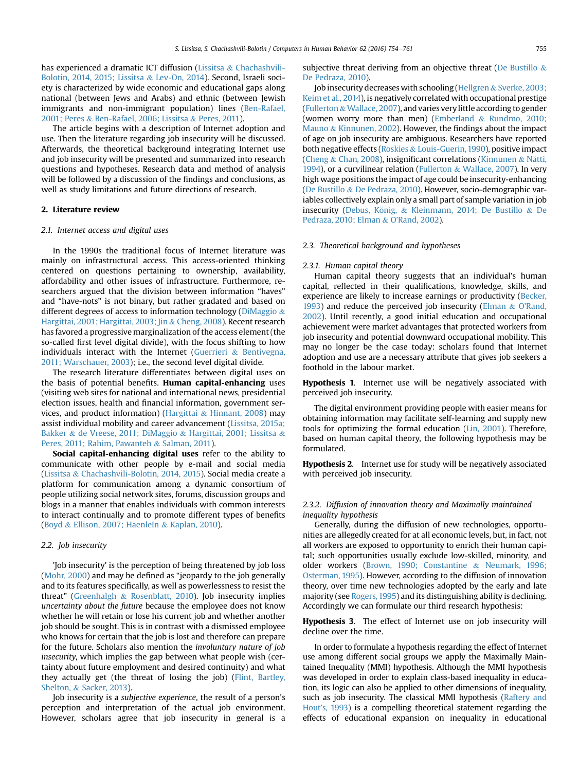has experienced a dramatic ICT diffusion ([Lissitsa](#page-6-0) & [Chachashvili-](#page-6-0)[Bolotin, 2014, 2015; Lissitsa](#page-6-0) & [Lev-On, 2014](#page-6-0)). Second, Israeli society is characterized by wide economic and educational gaps along national (between Jews and Arabs) and ethnic (between Jewish immigrants and non-immigrant population) lines [\(Ben-Rafael,](#page-6-0) [2001; Peres](#page-6-0) & [Ben-Rafael, 2006; Lissitsa](#page-6-0) & [Peres, 2011\)](#page-6-0).

The article begins with a description of Internet adoption and use. Then the literature regarding job insecurity will be discussed. Afterwards, the theoretical background integrating Internet use and job insecurity will be presented and summarized into research questions and hypotheses. Research data and method of analysis will be followed by a discussion of the findings and conclusions, as well as study limitations and future directions of research.

#### 2. Literature review

#### 2.1. Internet access and digital uses

In the 1990s the traditional focus of Internet literature was mainly on infrastructural access. This access-oriented thinking centered on questions pertaining to ownership, availability, affordability and other issues of infrastructure. Furthermore, researchers argued that the division between information "haves" and "have-nots" is not binary, but rather gradated and based on different degrees of access to information technology ([DiMaggio](#page-6-0) & [Hargittai, 2001; Hargittai, 2003; Jin](#page-6-0) & [Cheng, 2008](#page-6-0)). Recent research has favored a progressive marginalization of the access element (the so-called first level digital divide), with the focus shifting to how individuals interact with the Internet ([Guerrieri](#page-6-0) & [Bentivegna,](#page-6-0) [2011; Warschauer, 2003\)](#page-6-0); i.e., the second level digital divide.

The research literature differentiates between digital uses on the basis of potential benefits. Human capital-enhancing uses (visiting web sites for national and international news, presidential election issues, health and financial information, government services, and product information) [\(Hargittai](#page-6-0) & [Hinnant, 2008](#page-6-0)) may assist individual mobility and career advancement [\(Lissitsa, 2015a;](#page-6-0) [Bakker](#page-6-0) & [de Vreese, 2011; DiMaggio](#page-6-0) & [Hargittai, 2001; Lissitsa](#page-6-0) & [Peres, 2011; Rahim, Pawanteh](#page-6-0) & [Salman, 2011](#page-6-0)).

Social capital-enhancing digital uses refer to the ability to communicate with other people by e-mail and social media ([Lissitsa](#page-6-0) & [Chachashvili-Bolotin, 2014, 2015\)](#page-6-0). Social media create a platform for communication among a dynamic consortium of people utilizing social network sites, forums, discussion groups and blogs in a manner that enables individuals with common interests to interact continually and to promote different types of benefits ([Boyd](#page-6-0) & [Ellison, 2007; HaenleIn](#page-6-0) & [Kaplan, 2010\)](#page-6-0).

## 2.2. Job insecurity

'Job insecurity' is the perception of being threatened by job loss ([Mohr, 2000](#page-6-0)) and may be defined as "jeopardy to the job generally and to its features specifically, as well as powerlessness to resist the threat" [\(Greenhalgh](#page-6-0) & [Rosenblatt, 2010\)](#page-6-0). Job insecurity implies uncertainty about the future because the employee does not know whether he will retain or lose his current job and whether another job should be sought. This is in contrast with a dismissed employee who knows for certain that the job is lost and therefore can prepare for the future. Scholars also mention the involuntary nature of job insecurity, which implies the gap between what people wish (certainty about future employment and desired continuity) and what they actually get (the threat of losing the job) ([Flint, Bartley,](#page-6-0) [Shelton,](#page-6-0) & [Sacker, 2013](#page-6-0)).

Job insecurity is a subjective experience, the result of a person's perception and interpretation of the actual job environment. However, scholars agree that job insecurity in general is a subjective threat deriving from an objective threat ([De Bustillo](#page-6-0)  $\&$ [De Pedraza, 2010](#page-6-0)).

Job insecurity decreases with schooling [\(Hellgren](#page-6-0) & [Sverke, 2003;](#page-6-0) [Keim et al., 2014](#page-6-0)), is negatively correlated with occupational prestige [\(Fullerton](#page-6-0) & [Wallace, 2007\)](#page-6-0), and varies very little according to gender (women worry more than men) [\(Emberland](#page-6-0) & [Rundmo, 2010;](#page-6-0) [Mauno](#page-6-0) & [Kinnunen, 2002](#page-6-0)). However, the findings about the impact of age on job insecurity are ambiguous. Researchers have reported both negative effects [\(Roskies](#page-7-0) & [Louis-Guerin,1990](#page-7-0)), positive impact [\(Cheng](#page-6-0) & [Chan, 2008\)](#page-6-0), insignificant correlations ([Kinnunen](#page-6-0) & Nätti, [1994\)](#page-6-0), or a curvilinear relation [\(Fullerton](#page-6-0) & [Wallace, 2007](#page-6-0)). In very high wage positions the impact of age could be insecurity-enhancing [\(De Bustillo](#page-6-0) & [De Pedraza, 2010\)](#page-6-0). However, socio-demographic variables collectively explain only a small part of sample variation in job insecurity ([Debus, K](#page-6-0)ö[nig,](#page-6-0) & [Kleinmann, 2014; De Bustillo](#page-6-0) & [De](#page-6-0) [Pedraza, 2010; Elman](#page-6-0) & O'[Rand, 2002\)](#page-6-0).

## 2.3. Theoretical background and hypotheses

## 2.3.1. Human capital theory

Human capital theory suggests that an individual's human capital, reflected in their qualifications, knowledge, skills, and experience are likely to increase earnings or productivity ([Becker,](#page-6-0) [1993\)](#page-6-0) and reduce the perceived job insecurity ([Elman](#page-6-0) & O'[Rand,](#page-6-0) [2002\)](#page-6-0). Until recently, a good initial education and occupational achievement were market advantages that protected workers from job insecurity and potential downward occupational mobility. This may no longer be the case today: scholars found that Internet adoption and use are a necessary attribute that gives job seekers a foothold in the labour market.

Hypothesis 1. Internet use will be negatively associated with perceived job insecurity.

The digital environment providing people with easier means for obtaining information may facilitate self-learning and supply new tools for optimizing the formal education ([Lin, 2001\)](#page-6-0). Therefore, based on human capital theory, the following hypothesis may be formulated.

Hypothesis 2. Internet use for study will be negatively associated with perceived job insecurity.

# 2.3.2. Diffusion of innovation theory and Maximally maintained inequality hypothesis

Generally, during the diffusion of new technologies, opportunities are allegedly created for at all economic levels, but, in fact, not all workers are exposed to opportunity to enrich their human capital; such opportunities usually exclude low-skilled, minority, and older workers ([Brown, 1990; Constantine](#page-6-0) & [Neumark, 1996;](#page-6-0) [Osterman, 1995\)](#page-6-0). However, according to the diffusion of innovation theory, over time new technologies adopted by the early and late majority (see [Rogers, 1995\)](#page-7-0) and its distinguishing ability is declining. Accordingly we can formulate our third research hypothesis:

Hypothesis 3. The effect of Internet use on job insecurity will decline over the time.

In order to formulate a hypothesis regarding the effect of Internet use among different social groups we apply the Maximally Maintained Inequality (MMI) hypothesis. Although the MMI hypothesis was developed in order to explain class-based inequality in education, its logic can also be applied to other dimensions of inequality, such as job insecurity. The classical MMI hypothesis ([Raftery and](#page-7-0) Hout'[s, 1993](#page-7-0)) is a compelling theoretical statement regarding the effects of educational expansion on inequality in educational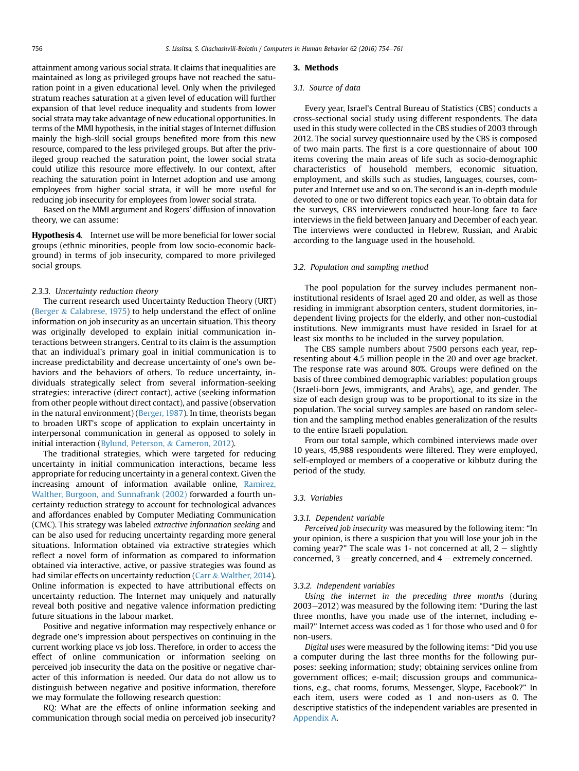attainment among various social strata. It claims that inequalities are maintained as long as privileged groups have not reached the saturation point in a given educational level. Only when the privileged stratum reaches saturation at a given level of education will further expansion of that level reduce inequality and students from lower social strata may take advantage of new educational opportunities. In terms of the MMI hypothesis, in the initial stages of Internet diffusion mainly the high-skill social groups benefited more from this new resource, compared to the less privileged groups. But after the privileged group reached the saturation point, the lower social strata could utilize this resource more effectively. In our context, after reaching the saturation point in Internet adoption and use among employees from higher social strata, it will be more useful for reducing job insecurity for employees from lower social strata.

Based on the MMI argument and Rogers' diffusion of innovation theory, we can assume:

Hypothesis 4. Internet use will be more beneficial for lower social groups (ethnic minorities, people from low socio-economic background) in terms of job insecurity, compared to more privileged social groups.

#### 2.3.3. Uncertainty reduction theory

The current research used Uncertainty Reduction Theory (URT) ([Berger](#page-6-0) & [Calabrese, 1975](#page-6-0)) to help understand the effect of online information on job insecurity as an uncertain situation. This theory was originally developed to explain initial communication interactions between strangers. Central to its claim is the assumption that an individual's primary goal in initial communication is to increase predictability and decrease uncertainty of one's own behaviors and the behaviors of others. To reduce uncertainty, individuals strategically select from several information-seeking strategies: interactive (direct contact), active (seeking information from other people without direct contact), and passive (observation in the natural environment) ([Berger, 1987\)](#page-6-0). In time, theorists began to broaden URT's scope of application to explain uncertainty in interpersonal communication in general as opposed to solely in initial interaction ([Bylund, Peterson,](#page-6-0) & [Cameron, 2012\)](#page-6-0).

The traditional strategies, which were targeted for reducing uncertainty in initial communication interactions, became less appropriate for reducing uncertainty in a general context. Given the increasing amount of information available online, [Ramirez,](#page-7-0) [Walther, Burgoon, and Sunnafrank \(2002\)](#page-7-0) forwarded a fourth uncertainty reduction strategy to account for technological advances and affordances enabled by Computer Mediating Communication (CMC). This strategy was labeled extractive information seeking and can be also used for reducing uncertainty regarding more general situations. Information obtained via extractive strategies which reflect a novel form of information as compared to information obtained via interactive, active, or passive strategies was found as had similar effects on uncertainty reduction ([Carr](#page-6-0) & [Walther, 2014\)](#page-6-0). Online information is expected to have attributional effects on uncertainty reduction. The Internet may uniquely and naturally reveal both positive and negative valence information predicting future situations in the labour market.

Positive and negative information may respectively enhance or degrade one's impression about perspectives on continuing in the current working place vs job loss. Therefore, in order to access the effect of online communication or information seeking on perceived job insecurity the data on the positive or negative character of this information is needed. Our data do not allow us to distinguish between negative and positive information, therefore we may formulate the following research question:

RQ: What are the effects of online information seeking and communication through social media on perceived job insecurity?

#### 3. Methods

## 3.1. Source of data

Every year, Israel's Central Bureau of Statistics (CBS) conducts a cross-sectional social study using different respondents. The data used in this study were collected in the CBS studies of 2003 through 2012. The social survey questionnaire used by the CBS is composed of two main parts. The first is a core questionnaire of about 100 items covering the main areas of life such as socio-demographic characteristics of household members, economic situation, employment, and skills such as studies, languages, courses, computer and Internet use and so on. The second is an in-depth module devoted to one or two different topics each year. To obtain data for the surveys, CBS interviewers conducted hour-long face to face interviews in the field between January and December of each year. The interviews were conducted in Hebrew, Russian, and Arabic according to the language used in the household.

#### 3.2. Population and sampling method

The pool population for the survey includes permanent noninstitutional residents of Israel aged 20 and older, as well as those residing in immigrant absorption centers, student dormitories, independent living projects for the elderly, and other non-custodial institutions. New immigrants must have resided in Israel for at least six months to be included in the survey population.

The CBS sample numbers about 7500 persons each year, representing about 4.5 million people in the 20 and over age bracket. The response rate was around 80%. Groups were defined on the basis of three combined demographic variables: population groups (Israeli-born Jews, immigrants, and Arabs), age, and gender. The size of each design group was to be proportional to its size in the population. The social survey samples are based on random selection and the sampling method enables generalization of the results to the entire Israeli population.

From our total sample, which combined interviews made over 10 years, 45,988 respondents were filtered. They were employed, self-employed or members of a cooperative or kibbutz during the period of the study.

#### 3.3. Variables

## 3.3.1. Dependent variable

Perceived job insecurity was measured by the following item: "In your opinion, is there a suspicion that you will lose your job in the coming year?" The scale was 1- not concerned at all,  $2 -$  slightly concerned,  $3 -$  greatly concerned, and  $4 -$  extremely concerned.

#### 3.3.2. Independent variables

Using the internet in the preceding three months (during 2003-2012) was measured by the following item: "During the last three months, have you made use of the internet, including email?" Internet access was coded as 1 for those who used and 0 for non-users.

Digital uses were measured by the following items: "Did you use a computer during the last three months for the following purposes: seeking information; study; obtaining services online from government offices; e-mail; discussion groups and communications, e.g., chat rooms, forums, Messenger, Skype, Facebook?" In each item, users were coded as 1 and non-users as 0. The descriptive statistics of the independent variables are presented in [Appendix A](#page-6-0).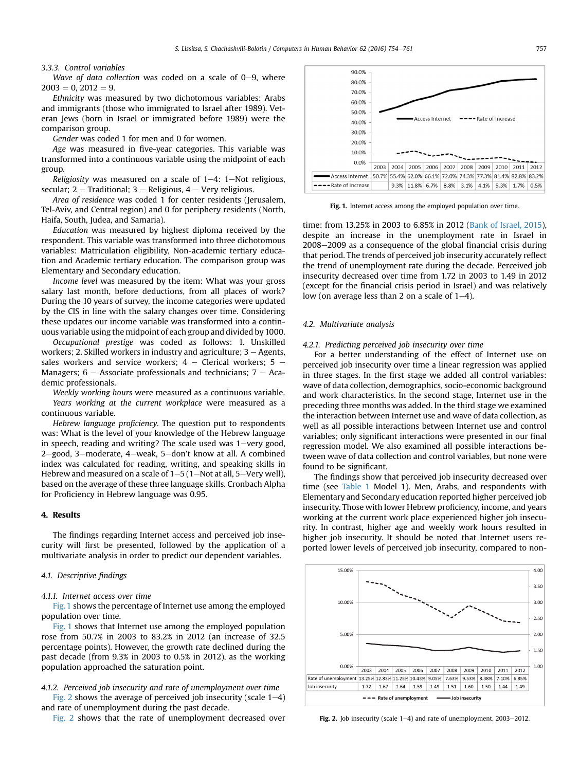## 3.3.3. Control variables

Wave of data collection was coded on a scale of  $0-9$ , where  $2003 = 0, 2012 = 9.$ 

Ethnicity was measured by two dichotomous variables: Arabs and immigrants (those who immigrated to Israel after 1989). Veteran Jews (born in Israel or immigrated before 1989) were the comparison group.

Gender was coded 1 for men and 0 for women.

Age was measured in five-year categories. This variable was transformed into a continuous variable using the midpoint of each group.

Religiosity was measured on a scale of  $1-4$ :  $1-N$ ot religious, secular;  $2 -$  Traditional;  $3 -$  Religious,  $4 -$  Very religious.

Area of residence was coded 1 for center residents (Jerusalem, Tel-Aviv, and Central region) and 0 for periphery residents (North, Haifa, South, Judea, and Samaria).

Education was measured by highest diploma received by the respondent. This variable was transformed into three dichotomous variables: Matriculation eligibility, Non-academic tertiary education and Academic tertiary education. The comparison group was Elementary and Secondary education.

Income level was measured by the item: What was your gross salary last month, before deductions, from all places of work? During the 10 years of survey, the income categories were updated by the CIS in line with the salary changes over time. Considering these updates our income variable was transformed into a continuous variable using the midpoint of each group and divided by 1000.

Occupational prestige was coded as follows: 1. Unskilled workers; 2. Skilled workers in industry and agriculture;  $3 -$  Agents, sales workers and service workers;  $4 -$  Clerical workers;  $5 -$ Managers;  $6 -$  Associate professionals and technicians;  $7 -$  Academic professionals.

Weekly working hours were measured as a continuous variable. Years working at the current workplace were measured as a continuous variable.

Hebrew language proficiency. The question put to respondents was: What is the level of your knowledge of the Hebrew language in speech, reading and writing? The scale used was  $1$ -very good, 2-good, 3-moderate, 4-weak, 5-don't know at all. A combined index was calculated for reading, writing, and speaking skills in Hebrew and measured on a scale of  $1-5$  (1-Not at all, 5-Very well), based on the average of these three language skills. Cronbach Alpha for Proficiency in Hebrew language was 0.95.

# 4. Results

The findings regarding Internet access and perceived job insecurity will first be presented, followed by the application of a multivariate analysis in order to predict our dependent variables.

# 4.1. Descriptive findings

#### 4.1.1. Internet access over time

Fig. 1 shows the percentage of Internet use among the employed population over time.

Fig. 1 shows that Internet use among the employed population rose from 50.7% in 2003 to 83.2% in 2012 (an increase of 32.5 percentage points). However, the growth rate declined during the past decade (from 9.3% in 2003 to 0.5% in 2012), as the working population approached the saturation point.

# 4.1.2. Perceived job insecurity and rate of unemployment over time

Fig. 2 shows the average of perceived job insecurity (scale  $1-4$ ) and rate of unemployment during the past decade.

Fig. 2 shows that the rate of unemployment decreased over



Fig. 1. Internet access among the employed population over time.

time: from 13.25% in 2003 to 6.85% in 2012 [\(Bank of Israel, 2015\)](#page-6-0), despite an increase in the unemployment rate in Israel in 2008-2009 as a consequence of the global financial crisis during that period. The trends of perceived job insecurity accurately reflect the trend of unemployment rate during the decade. Perceived job insecurity decreased over time from 1.72 in 2003 to 1.49 in 2012 (except for the financial crisis period in Israel) and was relatively low (on average less than 2 on a scale of  $1-4$ ).

## 4.2. Multivariate analysis

## 4.2.1. Predicting perceived job insecurity over time

For a better understanding of the effect of Internet use on perceived job insecurity over time a linear regression was applied in three stages. In the first stage we added all control variables: wave of data collection, demographics, socio-economic background and work characteristics. In the second stage, Internet use in the preceding three months was added. In the third stage we examined the interaction between Internet use and wave of data collection, as well as all possible interactions between Internet use and control variables; only significant interactions were presented in our final regression model. We also examined all possible interactions between wave of data collection and control variables, but none were found to be significant.

The findings show that perceived job insecurity decreased over time (see [Table 1](#page-4-0) Model 1). Men, Arabs, and respondents with Elementary and Secondary education reported higher perceived job insecurity. Those with lower Hebrew proficiency, income, and years working at the current work place experienced higher job insecurity. In contrast, higher age and weekly work hours resulted in higher job insecurity. It should be noted that Internet users reported lower levels of perceived job insecurity, compared to non-



Fig. 2. Job insecurity (scale  $1-4$ ) and rate of unemployment, 2003-2012.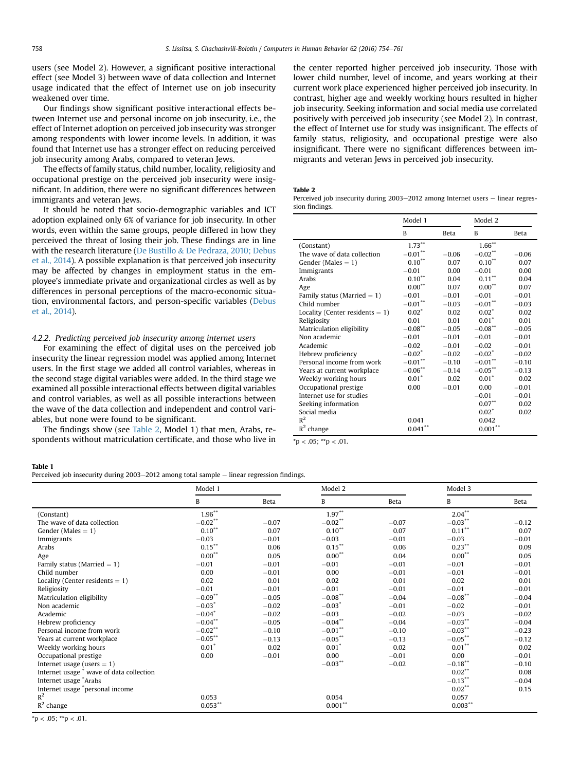<span id="page-4-0"></span>users (see Model 2). However, a significant positive interactional effect (see Model 3) between wave of data collection and Internet usage indicated that the effect of Internet use on job insecurity weakened over time.

Our findings show significant positive interactional effects between Internet use and personal income on job insecurity, i.e., the effect of Internet adoption on perceived job insecurity was stronger among respondents with lower income levels. In addition, it was found that Internet use has a stronger effect on reducing perceived job insecurity among Arabs, compared to veteran Jews.

The effects of family status, child number, locality, religiosity and occupational prestige on the perceived job insecurity were insignificant. In addition, there were no significant differences between immigrants and veteran Jews.

It should be noted that socio-demographic variables and ICT adoption explained only 6% of variance for job insecurity. In other words, even within the same groups, people differed in how they perceived the threat of losing their job. These findings are in line with the research literature ([De Bustillo](#page-6-0) & [De Pedraza, 2010; Debus](#page-6-0) [et al., 2014](#page-6-0)). A possible explanation is that perceived job insecurity may be affected by changes in employment status in the employee's immediate private and organizational circles as well as by differences in personal perceptions of the macro-economic situation, environmental factors, and person-specific variables [\(Debus](#page-6-0) [et al., 2014\)](#page-6-0).

## 4.2.2. Predicting perceived job insecurity among internet users

For examining the effect of digital uses on the perceived job insecurity the linear regression model was applied among Internet users. In the first stage we added all control variables, whereas in the second stage digital variables were added. In the third stage we examined all possible interactional effects between digital variables and control variables, as well as all possible interactions between the wave of the data collection and independent and control variables, but none were found to be significant.

The findings show (see Table 2, Model 1) that men, Arabs, respondents without matriculation certificate, and those who live in

the center reported higher perceived job insecurity. Those with lower child number, level of income, and years working at their current work place experienced higher perceived job insecurity. In contrast, higher age and weekly working hours resulted in higher job insecurity. Seeking information and social media use correlated positively with perceived job insecurity (see Model 2). In contrast, the effect of Internet use for study was insignificant. The effects of family status, religiosity, and occupational prestige were also insignificant. There were no significant differences between immigrants and veteran Jews in perceived job insecurity.

## Table 2

Perceived job insecurity during 2003-2012 among Internet users - linear regression findings.

|                                    | Model 1              |         | Model 2     |         |
|------------------------------------|----------------------|---------|-------------|---------|
|                                    | B                    | Beta    | B           | Beta    |
| (Constant)                         | $1.73***$            |         | $1.66***$   |         |
| The wave of data collection        | $-0.01***$           | $-0.06$ | $-0.02**$   | $-0.06$ |
| Gender (Males $= 1$ )              | $0.10**$             | 0.07    | $0.10***$   | 0.07    |
| Immigrants                         | $-0.01$              | 0.00    | $-0.01$     | 0.00    |
| Arabs                              | $0.10$ **            | 0.04    | $0.11***$   | 0.04    |
| Age                                | $0.00$ **            | 0.07    | $0.00^{**}$ | 0.07    |
| Family status (Married $= 1$ )     | $-0.01$              | $-0.01$ | $-0.01$     | $-0.01$ |
| Child number                       | $-0.01***$           | $-0.03$ | $-0.01***$  | $-0.03$ |
| Locality (Center residents $= 1$ ) | $0.02*$              | 0.02    | $0.02*$     | 0.02    |
| Religiosity                        | 0.01                 | 0.01    | $0.01*$     | 0.01    |
| Matriculation eligibility          | $-0.08***$           | $-0.05$ | $-0.08$ **  | $-0.05$ |
| Non academic                       | $-0.01$              | $-0.01$ | $-0.01$     | $-0.01$ |
| Academic                           | $-0.02$              | $-0.01$ | $-0.02$     | $-0.01$ |
| Hebrew proficiency                 | $-0.02$ <sup>*</sup> | $-0.02$ | $-0.02$ $*$ | $-0.02$ |
| Personal income from work          | $-0.01***$           | $-0.10$ | $-0.01***$  | $-0.10$ |
| Years at current workplace         | $-0.06***$           | $-0.14$ | $-0.05***$  | $-0.13$ |
| Weekly working hours               | $0.01*$              | 0.02    | $0.01*$     | 0.02    |
| Occupational prestige              | 0.00                 | $-0.01$ | 0.00        | $-0.01$ |
| Internet use for studies           |                      |         | $-0.01$     | $-0.01$ |
| Seeking information                |                      |         | $0.07***$   | 0.02    |
| Social media                       |                      |         | $0.02*$     | 0.02    |
| $R^2$                              | 0.041                |         | 0.042       |         |
| $R^2$ change                       | $0.041***$           |         | $0.001***$  |         |

 $p < .05$ ; \*\*p  $< .01$ .

#### Table 1

Perceived job insecurity during 2003-2012 among total sample - linear regression findings.

|                                          | Model 1              |         | Model 2              |             | Model 3     |             |
|------------------------------------------|----------------------|---------|----------------------|-------------|-------------|-------------|
|                                          | B                    | Beta    | B                    | <b>Beta</b> | B           | <b>Beta</b> |
| (Constant)                               | $1.96***$            |         | $1.97***$            |             | $2.04***$   |             |
| The wave of data collection              | $-0.02***$           | $-0.07$ | $-0.02***$           | $-0.07$     | $-0.03***$  | $-0.12$     |
| Gender (Males $= 1$ )                    | $0.10***$            | 0.07    | $0.10**$             | 0.07        | $0.11***$   | 0.07        |
| Immigrants                               | $-0.03$              | $-0.01$ | $-0.03$              | $-0.01$     | $-0.03$     | $-0.01$     |
| Arabs                                    | $0.15***$            | 0.06    | $0.15***$            | 0.06        | $0.23***$   | 0.09        |
| Age                                      | $0.00***$            | 0.05    | $0.00$ <sup>**</sup> | 0.04        | $0.00^{**}$ | 0.05        |
| Family status (Married $= 1$ )           | $-0.01$              | $-0.01$ | $-0.01$              | $-0.01$     | $-0.01$     | $-0.01$     |
| Child number                             | 0.00                 | $-0.01$ | 0.00                 | $-0.01$     | $-0.01$     | $-0.01$     |
| Locality (Center residents $= 1$ )       | 0.02                 | 0.01    | 0.02                 | 0.01        | 0.02        | 0.01        |
| Religiosity                              | $-0.01$              | $-0.01$ | $-0.01$              | $-0.01$     | $-0.01$     | $-0.01$     |
| Matriculation eligibility                | $-0.09***$           | $-0.05$ | $-0.08***$           | $-0.04$     | $-0.08***$  | $-0.04$     |
| Non academic                             | $-0.03$ <sup>*</sup> | $-0.02$ | $-0.03$ <sup>*</sup> | $-0.01$     | $-0.02$     | $-0.01$     |
| Academic                                 | $-0.04$ <sup>*</sup> | $-0.02$ | $-0.03$              | $-0.02$     | $-0.03$     | $-0.02$     |
| Hebrew proficiency                       | $-0.04***$           | $-0.05$ | $-0.04***$           | $-0.04$     | $-0.03***$  | $-0.04$     |
| Personal income from work                | $-0.02$ **           | $-0.10$ | $-0.01***$           | $-0.10$     | $-0.03***$  | $-0.23$     |
| Years at current workplace               | $-0.05***$           | $-0.13$ | $-0.05***$           | $-0.13$     | $-0.05***$  | $-0.12$     |
| Weekly working hours                     | $0.01*$              | 0.02    | $0.01*$              | 0.02        | $0.01***$   | 0.02        |
| Occupational prestige                    | 0.00                 | $-0.01$ | 0.00                 | $-0.01$     | 0.00        | $-0.01$     |
| Internet usage (users $= 1$ )            |                      |         | $-0.03\sp{*}^*$      | $-0.02$     | $-0.18***$  | $-0.10$     |
| Internet usage * wave of data collection |                      |         |                      |             | $0.02***$   | 0.08        |
| Internet usage "Arabs"                   |                      |         |                      |             | $-0.13***$  | $-0.04$     |
| Internet usage *personal income          |                      |         |                      |             | $0.02***$   | 0.15        |
| $R^2$                                    | 0.053                |         | 0.054                |             | 0.057       |             |
| $R^2$ change                             | $0.053***$           |         | $0.001***$           |             | $0.003***$  |             |

 $*$ p < .05; \*\*p < .01.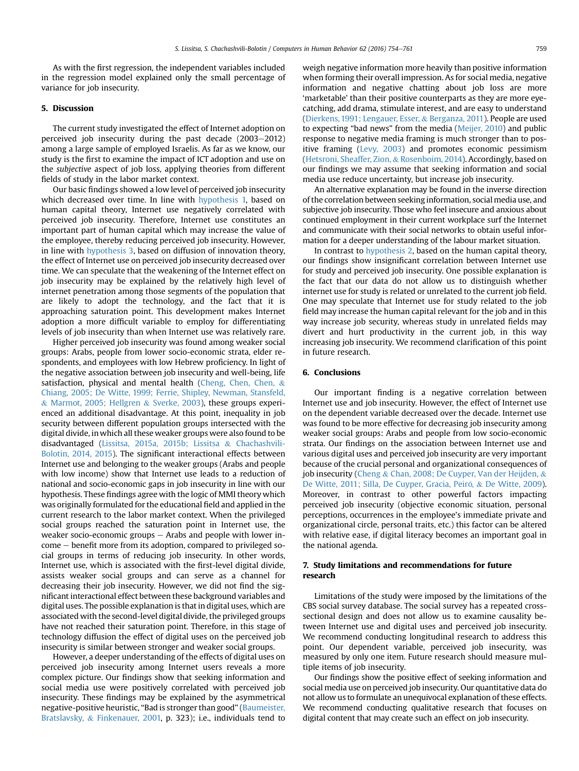As with the first regression, the independent variables included in the regression model explained only the small percentage of variance for job insecurity.

# 5. Discussion

The current study investigated the effect of Internet adoption on perceived job insecurity during the past decade  $(2003-2012)$ among a large sample of employed Israelis. As far as we know, our study is the first to examine the impact of ICT adoption and use on the subjective aspect of job loss, applying theories from different fields of study in the labor market context.

Our basic findings showed a low level of perceived job insecurity which decreased over time. In line with hypothesis 1, based on human capital theory, Internet use negatively correlated with perceived job insecurity. Therefore, Internet use constitutes an important part of human capital which may increase the value of the employee, thereby reducing perceived job insecurity. However, in line with hypothesis 3, based on diffusion of innovation theory, the effect of Internet use on perceived job insecurity decreased over time. We can speculate that the weakening of the Internet effect on job insecurity may be explained by the relatively high level of internet penetration among those segments of the population that are likely to adopt the technology, and the fact that it is approaching saturation point. This development makes Internet adoption a more difficult variable to employ for differentiating levels of job insecurity than when Internet use was relatively rare.

Higher perceived job insecurity was found among weaker social groups: Arabs, people from lower socio-economic strata, elder respondents, and employees with low Hebrew proficiency. In light of the negative association between job insecurity and well-being, life satisfaction, physical and mental health [\(Cheng, Chen, Chen,](#page-6-0) & [Chiang, 2005; De Witte, 1999; Ferrie, Shipley, Newman, Stansfeld,](#page-6-0) & [Marmot, 2005; Hellgren](#page-6-0) & [Sverke, 2003\)](#page-6-0), these groups experienced an additional disadvantage. At this point, inequality in job security between different population groups intersected with the digital divide, inwhich all these weaker groups were also found to be disadvantaged ([Lissitsa, 2015a, 2015b; Lissitsa](#page-6-0) & [Chachashvili-](#page-6-0)[Bolotin, 2014, 2015\)](#page-6-0). The significant interactional effects between Internet use and belonging to the weaker groups (Arabs and people with low income) show that Internet use leads to a reduction of national and socio-economic gaps in job insecurity in line with our hypothesis. These findings agree with the logic of MMI theory which was originally formulated for the educational field and applied in the current research to the labor market context. When the privileged social groups reached the saturation point in Internet use, the weaker socio-economic groups  $-$  Arabs and people with lower in $come - benefit$  more from its adoption, compared to privileged social groups in terms of reducing job insecurity. In other words, Internet use, which is associated with the first-level digital divide, assists weaker social groups and can serve as a channel for decreasing their job insecurity. However, we did not find the significant interactional effect between these background variables and digital uses. The possible explanation is that in digital uses, which are associated with the second-level digital divide, the privileged groups have not reached their saturation point. Therefore, in this stage of technology diffusion the effect of digital uses on the perceived job insecurity is similar between stronger and weaker social groups.

However, a deeper understanding of the effects of digital uses on perceived job insecurity among Internet users reveals a more complex picture. Our findings show that seeking information and social media use were positively correlated with perceived job insecurity. These findings may be explained by the asymmetrical negative-positive heuristic, "Bad is stronger than good" ([Baumeister,](#page-6-0) [Bratslavsky,](#page-6-0) & [Finkenauer, 2001,](#page-6-0) p. 323); i.e., individuals tend to weigh negative information more heavily than positive information when forming their overall impression. As for social media, negative information and negative chatting about job loss are more 'marketable' than their positive counterparts as they are more eyecatching, add drama, stimulate interest, and are easy to understand ([Dierkens, 1991; Lengauer, Esser,](#page-6-0) & [Berganza, 2011\)](#page-6-0). People are used to expecting "bad news" from the media ([Meijer, 2010](#page-6-0)) and public response to negative media framing is much stronger than to positive framing [\(Levy, 2003](#page-6-0)) and promotes economic pessimism ([Hetsroni, Sheaffer, Zion,](#page-6-0) & [Rosenboim, 2014\)](#page-6-0). Accordingly, based on our findings we may assume that seeking information and social media use reduce uncertainty, but increase job insecurity.

An alternative explanation may be found in the inverse direction of the correlation between seeking information, social media use, and subjective job insecurity. Those who feel insecure and anxious about continued employment in their current workplace surf the Internet and communicate with their social networks to obtain useful information for a deeper understanding of the labour market situation.

In contrast to hypothesis 2, based on the human capital theory, our findings show insignificant correlation between Internet use for study and perceived job insecurity. One possible explanation is the fact that our data do not allow us to distinguish whether internet use for study is related or unrelated to the current job field. One may speculate that Internet use for study related to the job field may increase the human capital relevant for the job and in this way increase job security, whereas study in unrelated fields may divert and hurt productivity in the current job, in this way increasing job insecurity. We recommend clarification of this point in future research.

## 6. Conclusions

Our important finding is a negative correlation between Internet use and job insecurity. However, the effect of Internet use on the dependent variable decreased over the decade. Internet use was found to be more effective for decreasing job insecurity among weaker social groups: Arabs and people from low socio-economic strata. Our findings on the association between Internet use and various digital uses and perceived job insecurity are very important because of the crucial personal and organizational consequences of job insecurity ([Cheng](#page-6-0) & [Chan, 2008; De Cuyper, Van der Heijden,](#page-6-0) & De Witte, 2011; Silla, De Cuyper, Gracia, Peiró, & [De Witte, 2009\)](#page-6-0). Moreover, in contrast to other powerful factors impacting perceived job insecurity (objective economic situation, personal perceptions, occurrences in the employee's immediate private and organizational circle, personal traits, etc.) this factor can be altered with relative ease, if digital literacy becomes an important goal in the national agenda.

# 7. Study limitations and recommendations for future research

Limitations of the study were imposed by the limitations of the CBS social survey database. The social survey has a repeated crosssectional design and does not allow us to examine causality between Internet use and digital uses and perceived job insecurity. We recommend conducting longitudinal research to address this point. Our dependent variable, perceived job insecurity, was measured by only one item. Future research should measure multiple items of job insecurity.

Our findings show the positive effect of seeking information and social media use on perceived job insecurity. Our quantitative data do not allow us to formulate an unequivocal explanation of these effects. We recommend conducting qualitative research that focuses on digital content that may create such an effect on job insecurity.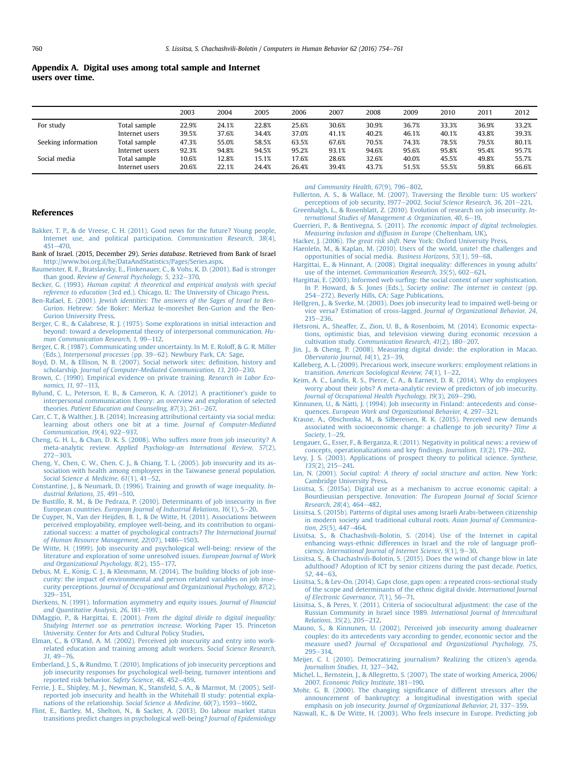# <span id="page-6-0"></span>Appendix A. Digital uses among total sample and Internet users over time.

|                     |                | 2003  | 2004  | 2005  | 2006  | 2007  | 2008  | 2009  | 2010  | 2011  | 2012  |
|---------------------|----------------|-------|-------|-------|-------|-------|-------|-------|-------|-------|-------|
| For study           | Total sample   | 22.9% | 24.1% | 22.8% | 25.6% | 30.6% | 30.9% | 36.7% | 33.3% | 36.9% | 33.2% |
|                     | Internet users | 39.5% | 37.6% | 34.4% | 37.0% | 41.1% | 40.2% | 46.1% | 40.1% | 43.8% | 39.3% |
| Seeking information | Total sample   | 47.3% | 55.0% | 58.5% | 63.5% | 67.6% | 70.5% | 74.3% | 78.5% | 79.5% | 80.1% |
|                     | Internet users | 92.3% | 94.8% | 94.5% | 95.2% | 93.1% | 94.6% | 95.6% | 95.8% | 95.4% | 95.7% |
| Social media        | Total sample   | 10.6% | 12.8% | 15.1% | 17.6% | 28.6% | 32.6% | 40.0% | 45.5% | 49.8% | 55.7% |
|                     | Internet users | 20.6% | 22.1% | 24.4% | 26.4% | 39.4% | 43.7% | 51.5% | 55.5% | 59.8% | 66.6% |

# References

- [Bakker, T. P., & de Vreese, C. H. \(2011\). Good news for the future? Young people,](http://refhub.elsevier.com/S0747-5632(16)30330-2/sref1) [Internet use, and political participation.](http://refhub.elsevier.com/S0747-5632(16)30330-2/sref1) Communication Research, 38(4),  $451 - 470$  $451 - 470$  $451 - 470$
- Bank of Israel. (2015, December 29). Series database. Retrieved from Bank of Israel [http://www.boi.org.il/he/DataAndStatistics/Pages/Series.aspx.](http://www.boi.org.il/he/DataAndStatistics/Pages/Series.aspx)
- [Baumeister, R. F., Bratslavsky, E., Finkenauer, C., & Vohs, K. D. \(2001\). Bad is stronger](http://refhub.elsevier.com/S0747-5632(16)30330-2/sref2) than good. [Review of General Psychology, 5](http://refhub.elsevier.com/S0747-5632(16)30330-2/sref2), 232-[370.](http://refhub.elsevier.com/S0747-5632(16)30330-2/sref2)
- Becker, G. (1993). [Human capital: A theoretical and empirical analysis with special](http://refhub.elsevier.com/S0747-5632(16)30330-2/sref3) reference to education [\(3rd ed.\). Chicago, IL: The University of Chicago Press](http://refhub.elsevier.com/S0747-5632(16)30330-2/sref3).
- Ben-Rafael, E. (2001). [Jewish identities: The answers of the Sages of Israel to Ben-](http://refhub.elsevier.com/S0747-5632(16)30330-2/sref4)Gurion[. Hebrew: Sde Boker: Merkaz le-moreshet Ben-Gurion and the Ben-](http://refhub.elsevier.com/S0747-5632(16)30330-2/sref4)[Gurion University Press.](http://refhub.elsevier.com/S0747-5632(16)30330-2/sref4)
- [Berger, C. R., & Calabrese, R. J. \(1975\). Some explorations in initial interaction and](http://refhub.elsevier.com/S0747-5632(16)30330-2/sref5) [beyond: toward a developmental theory of interpersonal communication.](http://refhub.elsevier.com/S0747-5632(16)30330-2/sref5) Hu[man Communication Research, 1](http://refhub.elsevier.com/S0747-5632(16)30330-2/sref5), 99-[112.](http://refhub.elsevier.com/S0747-5632(16)30330-2/sref5)
- [Berger, C. R. \(1987\). Communicating under uncertainty. In M. E. Roloff, & G. R. Miller](http://refhub.elsevier.com/S0747-5632(16)30330-2/sref6) (Eds.), [Interpersonal processes](http://refhub.elsevier.com/S0747-5632(16)30330-2/sref6) (pp. 39-[62\). Newbury Park, CA: Sage.](http://refhub.elsevier.com/S0747-5632(16)30330-2/sref6)
- [Boyd, D. M., & Ellison, N. B. \(2007\). Social network sites: de](http://refhub.elsevier.com/S0747-5632(16)30330-2/sref7)finition, history and scholarship. [Journal of Computer-Mediated Communication, 13](http://refhub.elsevier.com/S0747-5632(16)30330-2/sref7), 210-[230](http://refhub.elsevier.com/S0747-5632(16)30330-2/sref7).
- [Brown, C. \(1990\). Empirical evidence on private training.](http://refhub.elsevier.com/S0747-5632(16)30330-2/sref8) Research in Labor Eco[nomics, 11](http://refhub.elsevier.com/S0747-5632(16)30330-2/sref8), 97-[113.](http://refhub.elsevier.com/S0747-5632(16)30330-2/sref8)
- [Bylund, C. L., Peterson, E. B., & Cameron, K. A. \(2012\). A practitioner](http://refhub.elsevier.com/S0747-5632(16)30330-2/sref9)'s guide to [interpersonal communication theory: an overview and exploration of selected](http://refhub.elsevier.com/S0747-5632(16)30330-2/sref9) theories. [Patient Education and Counseling, 87](http://refhub.elsevier.com/S0747-5632(16)30330-2/sref9)(3), 261-[267.](http://refhub.elsevier.com/S0747-5632(16)30330-2/sref9)
- [Carr, C. T., & Walther, J. B. \(2014\). Increasing attributional certainty via social media:](http://refhub.elsevier.com/S0747-5632(16)30330-2/sref10) [learning about others one bit at a time.](http://refhub.elsevier.com/S0747-5632(16)30330-2/sref10) Journal of Computer-Mediated Communication,  $19(4)$ ,  $922-937$ .
- [Cheng, G. H. L., & Chan, D. K. S. \(2008\). Who suffers more from job insecurity? A](http://refhub.elsevier.com/S0747-5632(16)30330-2/sref11) meta-analytic review. [Applied Psychology-an International Review, 57](http://refhub.elsevier.com/S0747-5632(16)30330-2/sref11)(2),  $272 - 303$  $272 - 303$  $272 - 303$ .
- [Cheng, Y., Chen, C. W., Chen, C. J., & Chiang, T. L. \(2005\). Job insecurity and its as](http://refhub.elsevier.com/S0747-5632(16)30330-2/sref12)[sociation with health among employees in the Taiwanese general population.](http://refhub.elsevier.com/S0747-5632(16)30330-2/sref12) [Social Science](http://refhub.elsevier.com/S0747-5632(16)30330-2/sref12) & Medicine,  $61(1)$ ,  $41-52$  $41-52$ .
- [Constantine, J., & Neumark, D. \(1996\). Training and growth of wage inequality.](http://refhub.elsevier.com/S0747-5632(16)30330-2/sref13) Industrial Relations,  $35, 491 - 510$ .
- [De Bustillo, R. M., & De Pedraza, P. \(2010\). Determinants of job insecurity in](http://refhub.elsevier.com/S0747-5632(16)30330-2/sref14) five European countries. European Journal of Industrial Relations,  $16(1)$ ,  $5-20$ .
- [De Cuyper, N., Van der Heijden, B. I., & De Witte, H. \(2011\). Associations between](http://refhub.elsevier.com/S0747-5632(16)30330-2/sref15) [perceived employability, employee well-being, and its contribution to organi](http://refhub.elsevier.com/S0747-5632(16)30330-2/sref15)[zational success: a matter of psychological contracts?](http://refhub.elsevier.com/S0747-5632(16)30330-2/sref15) The International Journal [of Human Resource Management, 22](http://refhub.elsevier.com/S0747-5632(16)30330-2/sref15)(07), 1486-[1503](http://refhub.elsevier.com/S0747-5632(16)30330-2/sref15).
- [De Witte, H. \(1999\). Job insecurity and psychological well-being: review of the](http://refhub.elsevier.com/S0747-5632(16)30330-2/sref16) [literature and exploration of some unresolved issues.](http://refhub.elsevier.com/S0747-5632(16)30330-2/sref16) European Journal of Work [and Organizational Psychology, 8](http://refhub.elsevier.com/S0747-5632(16)30330-2/sref16)(2), 155-[177.](http://refhub.elsevier.com/S0747-5632(16)30330-2/sref16)
- Debus, M. E., König, C. J., & Kleinmann, M. (2014). The building blocks of job inse[curity: the impact of environmental and person related variables on job inse](http://refhub.elsevier.com/S0747-5632(16)30330-2/sref17)curity perceptions. [Journal of Occupational and Organizational Psychology, 87](http://refhub.elsevier.com/S0747-5632(16)30330-2/sref17)(2),  $329 - 351$  $329 - 351$
- [Dierkens, N. \(1991\). Information asymmetry and equity issues.](http://refhub.elsevier.com/S0747-5632(16)30330-2/sref18) Journal of Financial and Quantitative Analysis,  $26, 181-199$  $26, 181-199$ .
- DiMaggio, P., & Hargittai, E. (2001). [From the digital divide to digital inequality:](http://refhub.elsevier.com/S0747-5632(16)30330-2/sref19) [Studying Internet use as penetration increase](http://refhub.elsevier.com/S0747-5632(16)30330-2/sref19). Working Paper 15. Princeton [University. Center for Arts and Cultural Policy Studies.](http://refhub.elsevier.com/S0747-5632(16)30330-2/sref19)
- Elman, C., & O'[Rand, A. M. \(2002\). Perceived job insecurity and entry into work](http://refhub.elsevier.com/S0747-5632(16)30330-2/sref20)[related education and training among adult workers.](http://refhub.elsevier.com/S0747-5632(16)30330-2/sref20) Social Science Research,  $31, 49 - 76$  $31, 49 - 76$  $31, 49 - 76$
- [Emberland, J. S., & Rundmo, T. \(2010\). Implications of job insecurity perceptions and](http://refhub.elsevier.com/S0747-5632(16)30330-2/sref21) [job insecurity responses for psychological well-being, turnover intentions and](http://refhub.elsevier.com/S0747-5632(16)30330-2/sref21) [reported risk behavior.](http://refhub.elsevier.com/S0747-5632(16)30330-2/sref21) Safety Science, 48, 452-[459.](http://refhub.elsevier.com/S0747-5632(16)30330-2/sref21)
- [Ferrie, J. E., Shipley, M. J., Newman, K., Stansfeld, S. A., & Marmot, M. \(2005\). Self](http://refhub.elsevier.com/S0747-5632(16)30330-2/sref22)[reported job insecurity and health in the Whitehall II study: potential expla](http://refhub.elsevier.com/S0747-5632(16)30330-2/sref22)[nations of the relationship.](http://refhub.elsevier.com/S0747-5632(16)30330-2/sref22) Social Science & Medicine,  $60(7)$ , 1593-[1602.](http://refhub.elsevier.com/S0747-5632(16)30330-2/sref22)
- [Flint, E., Bartley, M., Shelton, N., & Sacker, A. \(2013\). Do labour market status](http://refhub.elsevier.com/S0747-5632(16)30330-2/sref23) [transitions predict changes in psychological well-being?](http://refhub.elsevier.com/S0747-5632(16)30330-2/sref23) Journal of Epidemiology

[and Community Health, 67](http://refhub.elsevier.com/S0747-5632(16)30330-2/sref23)(9), 796-[802](http://refhub.elsevier.com/S0747-5632(16)30330-2/sref23).

[Fullerton, A. S., & Wallace, M. \(2007\). Traversing the](http://refhub.elsevier.com/S0747-5632(16)30330-2/sref24) flexible turn: US workers' [perceptions of job security, 1977](http://refhub.elsevier.com/S0747-5632(16)30330-2/sref24)-2002. [Social Science Research, 36](http://refhub.elsevier.com/S0747-5632(16)30330-2/sref24), 201-[221.](http://refhub.elsevier.com/S0747-5632(16)30330-2/sref24)

- [Greenhalgh, L., & Rosenblatt, Z. \(2010\). Evolution of research on job insecurity.](http://refhub.elsevier.com/S0747-5632(16)30330-2/sref25) In[ternational Studies of Management](http://refhub.elsevier.com/S0747-5632(16)30330-2/sref25) & [Organization, 40](http://refhub.elsevier.com/S0747-5632(16)30330-2/sref25), 6-[19](http://refhub.elsevier.com/S0747-5632(16)30330-2/sref25).
- Guerrieri, P., & Bentivegna, S. (2011). [The economic impact of digital technologies.](http://refhub.elsevier.com/S0747-5632(16)30330-2/sref26) [Measuring inclusion and diffusion in Europe](http://refhub.elsevier.com/S0747-5632(16)30330-2/sref26) (Cheltenham, UK).
- Hacker, J. (2006). The great risk shift[. New York: Oxford University Press.](http://refhub.elsevier.com/S0747-5632(16)30330-2/sref27)
- [HaenleIn, M., & Kaplan, M. \(2010\). Users of the world, unite! the challenges and](http://refhub.elsevier.com/S0747-5632(16)30330-2/sref28) [opportunities of social media.](http://refhub.elsevier.com/S0747-5632(16)30330-2/sref28) Business Horizons, 53(1), 59-[68.](http://refhub.elsevier.com/S0747-5632(16)30330-2/sref28)
- [Hargittai, E., & Hinnant, A. \(2008\). Digital inequality: differences in young adults](http://refhub.elsevier.com/S0747-5632(16)30330-2/sref29)' use of the internet. [Communication Research, 35](http://refhub.elsevier.com/S0747-5632(16)30330-2/sref29)(5), 602-[621.](http://refhub.elsevier.com/S0747-5632(16)30330-2/sref29)
- Hargittai, E. (2003). Informed web surfi[ng: the social context of user sophistication.](http://refhub.elsevier.com/S0747-5632(16)30330-2/sref30) In P. Howard, & S. Jones (Eds.), [Society online: The internet in context](http://refhub.elsevier.com/S0747-5632(16)30330-2/sref30) (pp. [254](http://refhub.elsevier.com/S0747-5632(16)30330-2/sref30)-[272\). Beverly Hills, CA: Sage Publications.](http://refhub.elsevier.com/S0747-5632(16)30330-2/sref30)
- [Hellgren, J., & Sverke, M. \(2003\). Does job insecurity lead to impaired well-being or](http://refhub.elsevier.com/S0747-5632(16)30330-2/sref31) [vice versa? Estimation of cross-lagged.](http://refhub.elsevier.com/S0747-5632(16)30330-2/sref31) Journal of Organizational Behavior, 24,  $215 - 236.$  $215 - 236.$  $215 - 236.$
- [Hetsroni, A., Sheaffer, Z., Zion, U. B., & Rosenboim, M. \(2014\). Economic expecta](http://refhub.elsevier.com/S0747-5632(16)30330-2/sref32)[tions, optimistic bias, and television viewing during economic recession a](http://refhub.elsevier.com/S0747-5632(16)30330-2/sref32) cultivation study. Communication Research,  $41(2)$ ,  $180-207$ .
- [Jin, J., & Cheng, P. \(2008\). Measuring digital divide: the exploration in Macao.](http://refhub.elsevier.com/S0747-5632(16)30330-2/sref33) Obervatorio Journal,  $14(1)$ ,  $23-39$ .
- [Kalleberg, A. L. \(2009\). Precarious work, insecure workers: employment relations in](http://refhub.elsevier.com/S0747-5632(16)30330-2/sref34) transition. American Sociological Review,  $74(1)$ ,  $1-22$  $1-22$ .
- [Keim, A. C., Landis, R. S., Pierce, C. A., & Earnest, D. R. \(2014\). Why do employees](http://refhub.elsevier.com/S0747-5632(16)30330-2/sref35) [worry about their jobs? A meta-analytic review of predictors of job insecurity.](http://refhub.elsevier.com/S0747-5632(16)30330-2/sref35) Journal of Occupational Health Psychology,  $19(3)$ ,  $269-290$  $269-290$ .
- [Kinnunen, U., & Natti, J. \(1994\). Job insecurity in Finland: antecedents and conse-](http://refhub.elsevier.com/S0747-5632(16)30330-2/sref36) quences. [European Work and Organizational Behavior, 4](http://refhub.elsevier.com/S0747-5632(16)30330-2/sref36), 297-[321.](http://refhub.elsevier.com/S0747-5632(16)30330-2/sref36)
- [Krause, A., Obschonka, M., & Silbereisen, R. K. \(2015\). Perceived new demands](http://refhub.elsevier.com/S0747-5632(16)30330-2/sref37) [associated with socioeconomic change: a challenge to job security?](http://refhub.elsevier.com/S0747-5632(16)30330-2/sref37) Time & [Society](http://refhub.elsevier.com/S0747-5632(16)30330-2/sref37),  $1-29$  $1-29$ .
- [Lengauer, G., Esser, F., & Berganza, R. \(2011\). Negativity in political news: a review of](http://refhub.elsevier.com/S0747-5632(16)30330-2/sref39) [concepts, operationalizations and key](http://refhub.elsevier.com/S0747-5632(16)30330-2/sref39) findings. Journalism, 13(2), 179-[202](http://refhub.elsevier.com/S0747-5632(16)30330-2/sref39).
- [Levy, J. S. \(2003\). Applications of prospect theory to political science.](http://refhub.elsevier.com/S0747-5632(16)30330-2/sref40) Synthese,  $135(2)$ ,  $215-241$ .
- Lin, N. (2001). [Social capital: A theory of social structure and action](http://refhub.elsevier.com/S0747-5632(16)30330-2/sref41). New York: [Cambridge University Press](http://refhub.elsevier.com/S0747-5632(16)30330-2/sref41).
- [Lissitsa, S. \(2015a\). Digital use as a mechanism to accrue economic capital: a](http://refhub.elsevier.com/S0747-5632(16)30330-2/sref59) Bourdieusian perspective. [Innovation: The European Journal of Social Science](http://refhub.elsevier.com/S0747-5632(16)30330-2/sref59) Research,  $28(4)$ ,  $464-482$ .
- [Lissitsa, S. \(2015b\). Patterns of digital uses among Israeli Arabs](http://refhub.elsevier.com/S0747-5632(16)30330-2/sref60)-between citizenship [in modern society and traditional cultural roots.](http://refhub.elsevier.com/S0747-5632(16)30330-2/sref60) Asian Journal of Communica-tion, 25[\(5\), 447](http://refhub.elsevier.com/S0747-5632(16)30330-2/sref60)-[464.](http://refhub.elsevier.com/S0747-5632(16)30330-2/sref60)
- [Lissitsa, S., & Chachashvili-Bolotin, S. \(2014\). Use of the Internet in capital](http://refhub.elsevier.com/S0747-5632(16)30330-2/sref61) enhancing ways-[ethnic differences in Israel and the role of language pro](http://refhub.elsevier.com/S0747-5632(16)30330-2/sref61)ficiency. International Journal of Internet Science,  $9(1)$ ,  $9-30$ .
- [Lissitsa, S., & Chachashvili-Bolotin, S. \(2015\). Does the wind of change blow in late](http://refhub.elsevier.com/S0747-5632(16)30330-2/sref62) [adulthood? Adoption of ICT by senior citizens during the past decade.](http://refhub.elsevier.com/S0747-5632(16)30330-2/sref62) Poetics,  $52, 44 - 63$  $52, 44 - 63$  $52, 44 - 63$  $52, 44 - 63$
- [Lissitsa, S., & Lev-On. \(2014\). Gaps close, gaps open: a repeated cross-sectional study](http://refhub.elsevier.com/S0747-5632(16)30330-2/sref63) [of the scope and determinants of the ethnic digital divide.](http://refhub.elsevier.com/S0747-5632(16)30330-2/sref63) International Journal [of Electronic Governance, 7](http://refhub.elsevier.com/S0747-5632(16)30330-2/sref63)(1), 56-[71.](http://refhub.elsevier.com/S0747-5632(16)30330-2/sref63)
- [Lissitsa, S., & Peres, Y. \(2011\). Criteria of sociocultural adjustment: the case of the](http://refhub.elsevier.com/S0747-5632(16)30330-2/sref64) [Russian Community in Israel since 1989.](http://refhub.elsevier.com/S0747-5632(16)30330-2/sref64) International Journal of Intercultural [Relations, 35](http://refhub.elsevier.com/S0747-5632(16)30330-2/sref64)(2), 205-[212.](http://refhub.elsevier.com/S0747-5632(16)30330-2/sref64)
- [Mauno, S., & Kinnunen, U. \(2002\). Perceived job insecurity among dualearner](http://refhub.elsevier.com/S0747-5632(16)30330-2/sref42) [couples: do its antecedents vary according to gender, economic sector and the](http://refhub.elsevier.com/S0747-5632(16)30330-2/sref42) measure used? [Journal of Occupational and Organizational Psychology, 75](http://refhub.elsevier.com/S0747-5632(16)30330-2/sref42),  $295 - 314$  $295 - 314$
- [Meijer, C. I. \(2010\). Democratizing journalism? Realizing the citizen](http://refhub.elsevier.com/S0747-5632(16)30330-2/sref43)'s agenda. [Journalism Studies, 11](http://refhub.elsevier.com/S0747-5632(16)30330-2/sref43), 327-[342](http://refhub.elsevier.com/S0747-5632(16)30330-2/sref43).
- [Michel, L., Bernstein, J., & Allegretto, S. \(2007\). The state of working America, 2006/](http://refhub.elsevier.com/S0747-5632(16)30330-2/sref65) 2007. [Economic Policy Institute](http://refhub.elsevier.com/S0747-5632(16)30330-2/sref65), 181-[190](http://refhub.elsevier.com/S0747-5632(16)30330-2/sref65).
- [Mohr, G. B. \(2000\). The changing signi](http://refhub.elsevier.com/S0747-5632(16)30330-2/sref44)ficance of different stressors after the [announcement of bankruptcy: a longitudinal investigation with special](http://refhub.elsevier.com/S0747-5632(16)30330-2/sref44)
- emphasis on job insecurity. [Journal of Organizational Behavior, 21](http://refhub.elsevier.com/S0747-5632(16)30330-2/sref44), 337-[359.](http://refhub.elsevier.com/S0747-5632(16)30330-2/sref44) [N](http://refhub.elsevier.com/S0747-5632(16)30330-2/sref45)äswall, K., & De Witte, H. (2003). Who feels insecure in Europe. Predicting job